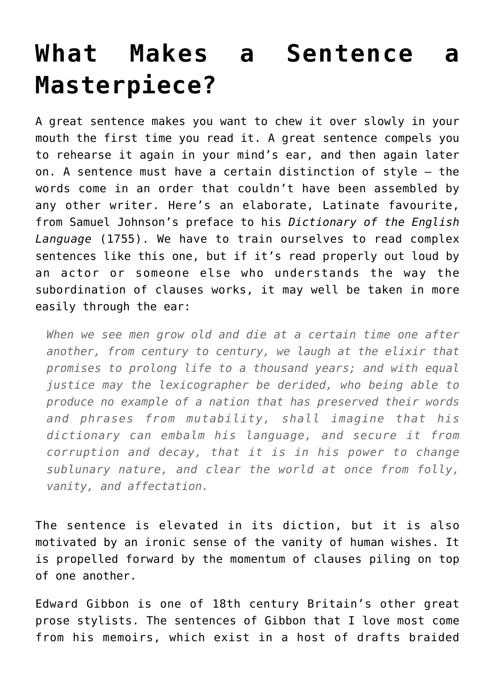## **[What Makes a Sentence a](https://intellectualtakeout.org/2016/08/what-makes-a-sentence-a-masterpiece/) [Masterpiece?](https://intellectualtakeout.org/2016/08/what-makes-a-sentence-a-masterpiece/)**

A great sentence makes you want to chew it over slowly in your mouth the first time you read it. A great sentence compels you to rehearse it again in your mind's ear, and then again later on. A sentence must have a certain distinction of style – the words come in an order that couldn't have been assembled by any other writer. Here's an elaborate, Latinate favourite, from Samuel Johnson's preface to his *Dictionary of the English Language* (1755). We have to train ourselves to read complex sentences like this one, but if it's read properly out loud by an actor or someone else who understands the way the subordination of clauses works, it may well be taken in more easily through the ear:

*When we see men grow old and die at a certain time one after another, from century to century, we laugh at the elixir that promises to prolong life to a thousand years; and with equal justice may the lexicographer be derided, who being able to produce no example of a nation that has preserved their words and phrases from mutability, shall imagine that his dictionary can embalm his language, and secure it from corruption and decay, that it is in his power to change sublunary nature, and clear the world at once from folly, vanity, and affectation.*

The sentence is elevated in its diction, but it is also motivated by an ironic sense of the vanity of human wishes. It is propelled forward by the momentum of clauses piling on top of one another.

Edward Gibbon is one of 18th century Britain's other great prose stylists. The sentences of Gibbon that I love most come from his memoirs, which exist in a host of drafts braided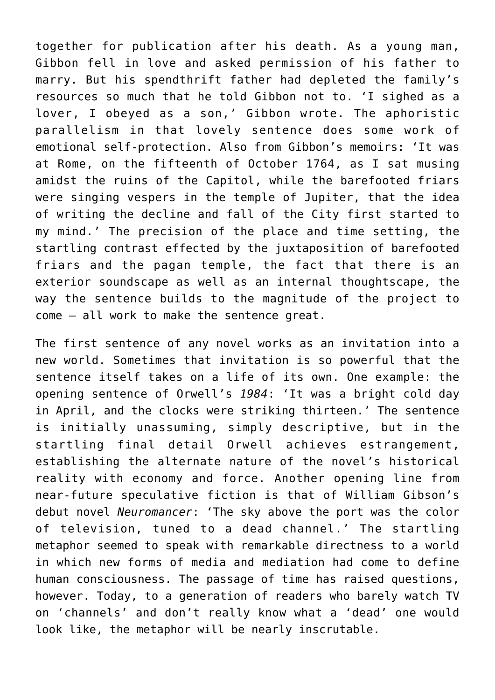together for publication after his death. As a young man, Gibbon fell in love and asked permission of his father to marry. But his spendthrift father had depleted the family's resources so much that he told Gibbon not to. 'I sighed as a lover, I obeyed as a son,' Gibbon wrote. The aphoristic parallelism in that lovely sentence does some work of emotional self-protection. Also from Gibbon's memoirs: 'It was at Rome, on the fifteenth of October 1764, as I sat musing amidst the ruins of the Capitol, while the barefooted friars were singing vespers in the temple of Jupiter, that the idea of writing the decline and fall of the City first started to my mind.' The precision of the place and time setting, the startling contrast effected by the juxtaposition of barefooted friars and the pagan temple, the fact that there is an exterior soundscape as well as an internal thoughtscape, the way the sentence builds to the magnitude of the project to come – all work to make the sentence great.

The first sentence of any novel works as an invitation into a new world. Sometimes that invitation is so powerful that the sentence itself takes on a life of its own. One example: the opening sentence of Orwell's *1984*: 'It was a bright cold day in April, and the clocks were striking thirteen.' The sentence is initially unassuming, simply descriptive, but in the startling final detail Orwell achieves estrangement, establishing the alternate nature of the novel's historical reality with economy and force. Another opening line from near-future speculative fiction is that of William Gibson's debut novel *Neuromancer*: 'The sky above the port was the color of television, tuned to a dead channel.' The startling metaphor seemed to speak with remarkable directness to a world in which new forms of media and mediation had come to define human consciousness. The passage of time has raised questions, however. Today, to a generation of readers who barely watch TV on 'channels' and don't really know what a 'dead' one would look like, the metaphor will be nearly inscrutable.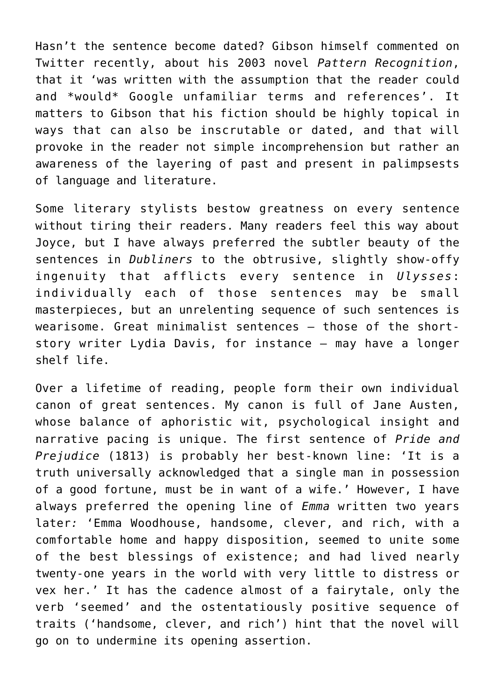Hasn't the sentence become dated? Gibson himself commented on Twitter recently, about his 2003 novel *Pattern Recognition*, that it 'was written with the assumption that the reader could and \*would\* Google unfamiliar terms and references'. It matters to Gibson that his fiction should be highly topical in ways that can also be inscrutable or dated, and that will provoke in the reader not simple incomprehension but rather an awareness of the layering of past and present in palimpsests of language and literature.

Some literary stylists bestow greatness on every sentence without tiring their readers. Many readers feel this way about Joyce, but I have always preferred the subtler beauty of the sentences in *Dubliners* to the obtrusive, slightly show-offy ingenuity that afflicts every sentence in *Ulysses*: individually each of those sentences may be small masterpieces, but an unrelenting sequence of such sentences is wearisome. Great minimalist sentences – those of the shortstory writer Lydia Davis, for instance – may have a longer shelf life.

Over a lifetime of reading, people form their own individual canon of great sentences. My canon is full of Jane Austen, whose balance of aphoristic wit, psychological insight and narrative pacing is unique. The first sentence of *Pride and Prejudice* (1813) is probably her best-known line: 'It is a truth universally acknowledged that a single man in possession of a good fortune, must be in want of a wife.' However, I have always preferred the opening line of *Emma* written two years later*:* 'Emma Woodhouse, handsome, clever, and rich, with a comfortable home and happy disposition, seemed to unite some of the best blessings of existence; and had lived nearly twenty-one years in the world with very little to distress or vex her.' It has the cadence almost of a fairytale, only the verb 'seemed' and the ostentatiously positive sequence of traits ('handsome, clever, and rich') hint that the novel will go on to undermine its opening assertion.